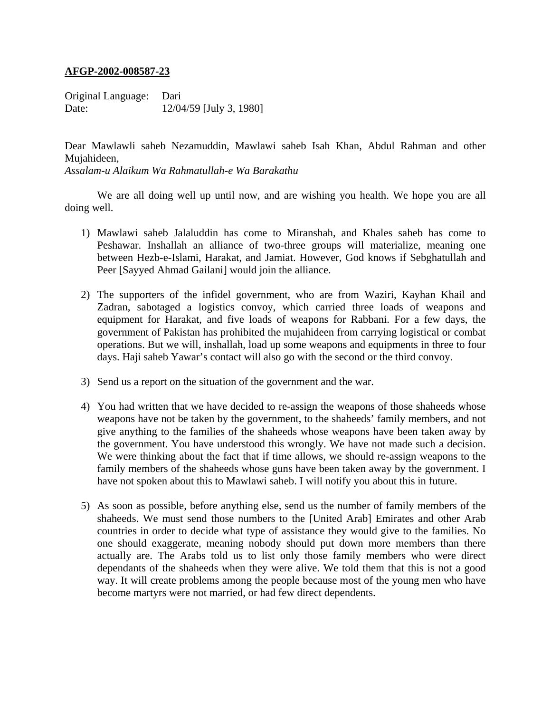## **AFGP-2002-008587-23**

Original Language: Dari Date: 12/04/59 [July 3, 1980]

Dear Mawlawli saheb Nezamuddin, Mawlawi saheb Isah Khan, Abdul Rahman and other Mujahideen, *Assalam-u Alaikum Wa Rahmatullah-e Wa Barakathu* 

 We are all doing well up until now, and are wishing you health. We hope you are all doing well.

- 1) Mawlawi saheb Jalaluddin has come to Miranshah, and Khales saheb has come to Peshawar. Inshallah an alliance of two-three groups will materialize, meaning one between Hezb-e-Islami, Harakat, and Jamiat. However, God knows if Sebghatullah and Peer [Sayyed Ahmad Gailani] would join the alliance.
- 2) The supporters of the infidel government, who are from Waziri, Kayhan Khail and Zadran, sabotaged a logistics convoy, which carried three loads of weapons and equipment for Harakat, and five loads of weapons for Rabbani. For a few days, the government of Pakistan has prohibited the mujahideen from carrying logistical or combat operations. But we will, inshallah, load up some weapons and equipments in three to four days. Haji saheb Yawar's contact will also go with the second or the third convoy.
- 3) Send us a report on the situation of the government and the war.
- 4) You had written that we have decided to re-assign the weapons of those shaheeds whose weapons have not be taken by the government, to the shaheeds' family members, and not give anything to the families of the shaheeds whose weapons have been taken away by the government. You have understood this wrongly. We have not made such a decision. We were thinking about the fact that if time allows, we should re-assign weapons to the family members of the shaheeds whose guns have been taken away by the government. I have not spoken about this to Mawlawi saheb. I will notify you about this in future.
- 5) As soon as possible, before anything else, send us the number of family members of the shaheeds. We must send those numbers to the [United Arab] Emirates and other Arab countries in order to decide what type of assistance they would give to the families. No one should exaggerate, meaning nobody should put down more members than there actually are. The Arabs told us to list only those family members who were direct dependants of the shaheeds when they were alive. We told them that this is not a good way. It will create problems among the people because most of the young men who have become martyrs were not married, or had few direct dependents.